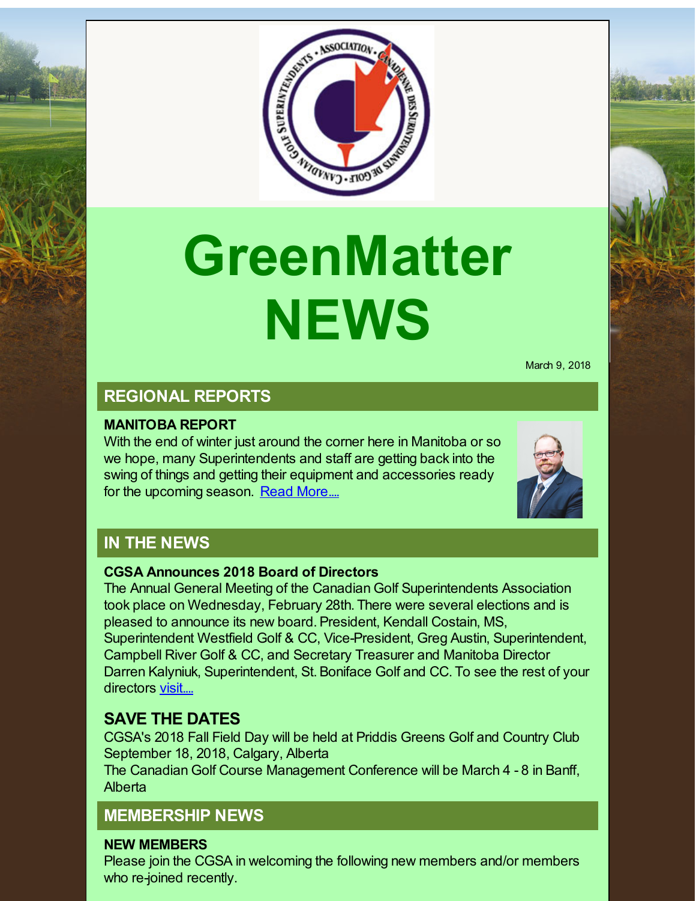

# **GreenMatter NEWS**

March 9, 2018

# **REGIONAL REPORTS**

#### **MANITOBA REPORT**

With the end of winter just around the corner here in Manitoba or so we hope, many Superintendents and staff are getting back into the swing of things and getting their equipment and accessories ready for the upcoming season. Read [More....](http://r20.rs6.net/tn.jsp?f=001QfPlRQZxQrNjh9n5pUjbz-GlJve0SAOV1xbJbwEGuktf7CM_Mdkgkd9t4o078dXPhELtmIW_7JN8iF0LU-l8oE-AKITFoZokB8v8mKUFjgEQbICyLeFn8GWf6ZIzDgh938nzrNPemVu45epzKDfYBFTNe3bRY3S9hZuW-u2PpCkZolt9bQO4IkP4sBxI46V3OFQQ4blFtnaw4YlCRJHsG9r_wwWL7g-65-GPskfL4KuLQWhrur_GtYXpLRBXX6Gv&c=&ch=)



# **IN THE NEWS**

#### **CGSA Announces 2018 Board of Directors**

The Annual General Meeting of the Canadian Golf Superintendents Association took place on Wednesday, February 28th. There were several elections and is pleased to announce its new board. President, Kendall Costain, MS, Superintendent Westfield Golf & CC, Vice-President, Greg Austin, Superintendent, Campbell River Golf & CC, and Secretary Treasurer and Manitoba Director Darren Kalyniuk, Superintendent, St. Boniface Golf and CC. To see the rest of your directors [visit....](http://r20.rs6.net/tn.jsp?f=001QfPlRQZxQrNjh9n5pUjbz-GlJve0SAOV1xbJbwEGuktf7CM_Mdkgkd9t4o078dXPwV9anip0Fhv_BLGgbLBq7RjnWdCH8JNbwtc_3ugftn6USqqtO3lA52wo55Vb3TabbEhBedXX1fvIGcmZxIXPGBvtVX0zXV0PeFyCOfCOMEorxNeK5xOim3NzhRw6i4pfIwSzkdyjKDI7jlgU4fWv4e4ZkSsO45zv9hB-ulu361lBdXPIqcSM7iXWutQ5ILZn&c=&ch=)

## **SAVE THE DATES**

CGSA's 2018 Fall Field Day will be held at Priddis Greens Golf and Country Club September 18, 2018, Calgary, Alberta

The Canadian Golf Course Management Conference will be March 4 - 8 in Banff, Alberta

## **MEMBERSHIP NEWS**

#### **NEW MEMBERS**

Please join the CGSA in welcoming the following new members and/or members who re-joined recently.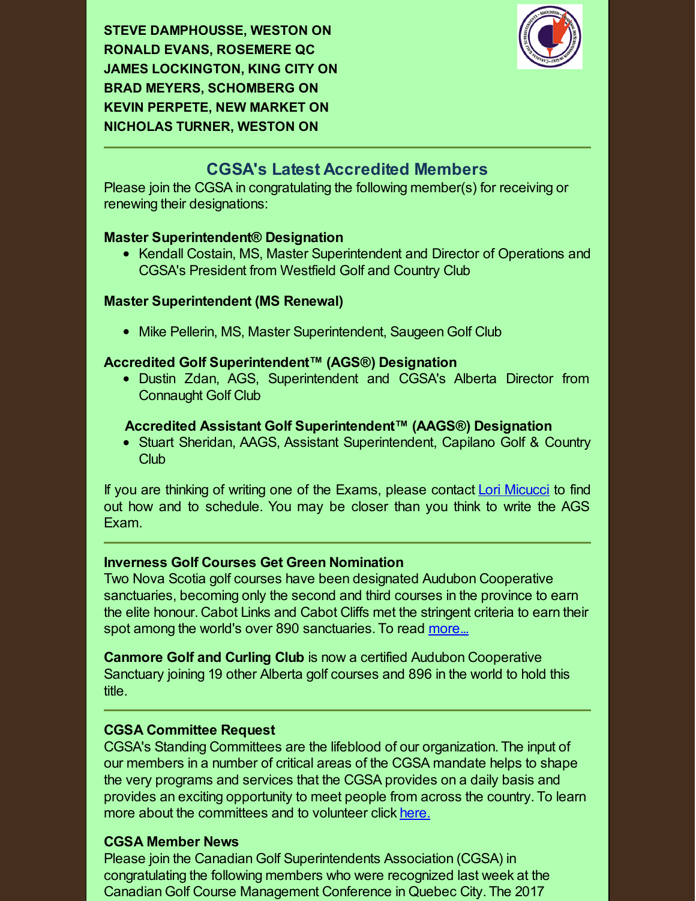**STEVE DAMPHOUSSE, WESTON ON RONALD EVANS, ROSEMERE QC JAMES LOCKINGTON, KING CITY ON BRAD MEYERS, SCHOMBERG ON KEVIN PERPETE, NEW MARKET ON NICHOLAS TURNER, WESTON ON**



### **CGSA's Latest Accredited Members**

Please join the CGSA in congratulating the following member(s) for receiving or renewing their designations:

#### **Master Superintendent® Designation**

• Kendall Costain, MS, Master Superintendent and Director of Operations and CGSA's President from Westfield Golf and Country Club

#### **Master Superintendent (MS Renewal)**

• Mike Pellerin, MS, Master Superintendent, Saugeen Golf Club

#### **Accredited Golf Superintendent™ (AGS®) Designation**

Dustin Zdan, AGS, Superintendent and CGSA's Alberta Director from Connaught Golf Club

#### **Accredited Assistant Golf Superintendent™ (AAGS®) Designation**

Stuart Sheridan, AAGS, Assistant Superintendent, Capilano Golf & Country Club

If you are thinking of writing one of the Exams, please contact Lori [Micucci](mailto:lmicucci@golfsupers.com) to find out how and to schedule. You may be closer than you think to write the AGS Exam.

#### **Inverness Golf Courses Get Green Nomination**

Two Nova Scotia golf courses have been designated Audubon Cooperative sanctuaries, becoming only the second and third courses in the province to earn the elite honour. Cabot Links and Cabot Cliffs met the stringent criteria to earn their spot among the world's over 890 sanctuaries. To read [more...](http://r20.rs6.net/tn.jsp?f=001QfPlRQZxQrNjh9n5pUjbz-GlJve0SAOV1xbJbwEGuktf7CM_Mdkgkd9t4o078dXP4UiHgeADIYrpX9D8k3Q3A4wM-ZGn7d9uZYvpmOfCnSOInzlJfxnKpEQeyVAbFY8pQerw7_xGf1EYRpVfReQ6R2vIl59OCewkJ5NNL0TxOCB2O9rfO3aHUwyNwEMYB4G6-YIbtEm-Vxqd-CBIgvLanR1aGMiwesFfDfi54_9IFy0eSlx6s1Xsi01WRf9PN6Ti&c=&ch=)

**Canmore Golf and Curling Club** is now a certified Audubon Cooperative Sanctuary joining 19 other Alberta golf courses and 896 in the world to hold this title.

#### **CGSA Committee Request**

CGSA's Standing Committees are the lifeblood of our organization. The input of our members in a number of critical areas of the CGSA mandate helps to shape the very programs and services that the CGSA provides on a daily basis and provides an exciting opportunity to meet people from across the country. To learn more about the committees and to volunteer click [here.](http://r20.rs6.net/tn.jsp?f=001QfPlRQZxQrNjh9n5pUjbz-GlJve0SAOV1xbJbwEGuktf7CM_Mdkgkd9t4o078dXPfFWvDNMb2njmETtixKDV9fXq2l8gn5b5_1G-W8-AgamydbO7iF4_5MHBxOgYxdFWRllp-QhEsGS9QK-Ut5c1lqx_nvxdLSx_T2HZE4YUH3-lUeF0AgEdmYz-RnTEOYf0H4Hkygzo7gMnc02B3QIqC8FS6Gu6gDro3qGQU1vBbpFnxfhFpzkBVy6hbiRKhEdb&c=&ch=)

#### **CGSA Member News**

Please join the Canadian Golf Superintendents Association (CGSA) in congratulating the following members who were recognized last week at the Canadian Golf Course Management Conference in Quebec City. The 2017